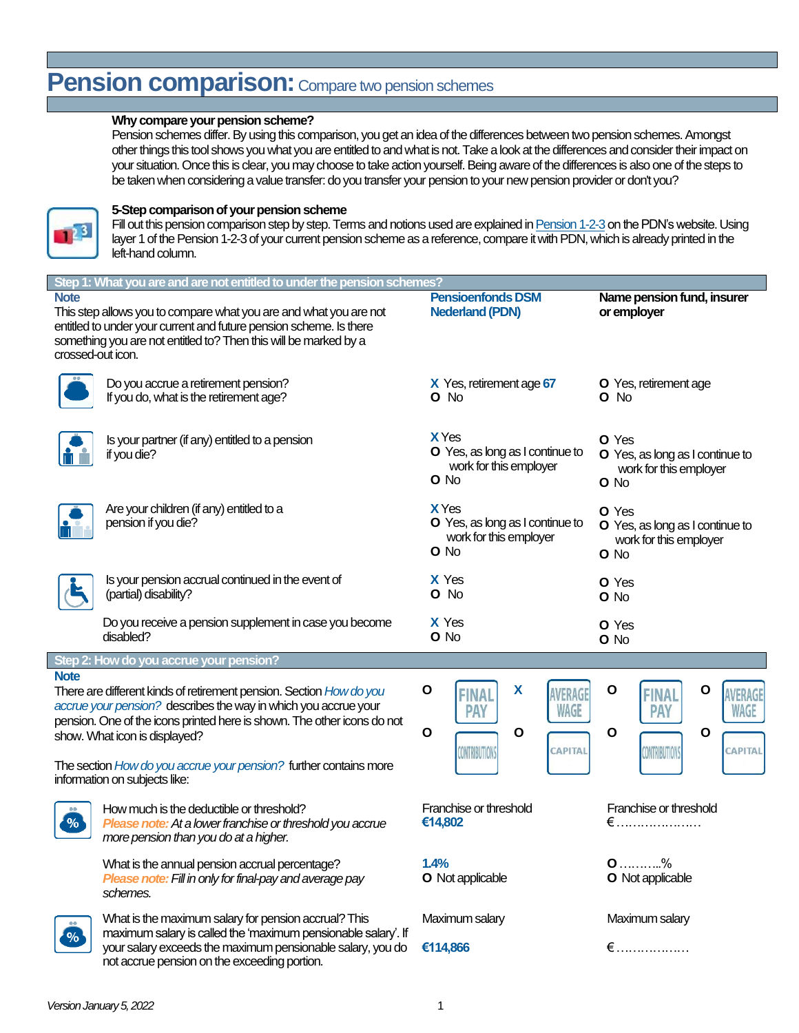# **Pension comparison:** Compare two pension schemes

### **Why compare your pension scheme?**

Pension schemes differ. By using this comparison, you get an idea of the differences between two pension schemes. Amongst other things this tool shows you what you are entitled to and what is not. Take a look at the differences and consider their impact on your situation. Once this is clear, you may choose to take action yourself. Being aware of the differences is also one of the steps to be taken when considering a value transfer: do you transfer your pension to your new pension provider or don't you?



### **5-Step comparison of your pension scheme**

Fill out this pension comparison step by step. Terms and notions used are explained i[n Pension 1-2-3](https://www.pdnpensioen.nl/en-gb/pension123/basic-pension-scheme#!step:1bd6140a5c) on the PDN's website. Using layer 1 of the Pension 1-2-3 of your current pension scheme as a reference, compare it with PDN, which is already printed in the left-hand column.

| Step 1: What you are and are not entitled to under the pension schemes?                                                                                                                                                                                           |                                                                                                                                                                                                                                     |                                                                                                             |                                                                                                |  |  |  |  |
|-------------------------------------------------------------------------------------------------------------------------------------------------------------------------------------------------------------------------------------------------------------------|-------------------------------------------------------------------------------------------------------------------------------------------------------------------------------------------------------------------------------------|-------------------------------------------------------------------------------------------------------------|------------------------------------------------------------------------------------------------|--|--|--|--|
| <b>Note</b><br>This step allows you to compare what you are and what you are not<br>entitled to under your current and future pension scheme. Is there<br>something you are not entitled to? Then this will be marked by a<br>crossed-out icon.                   |                                                                                                                                                                                                                                     | <b>Pensioenfonds DSM</b><br><b>Nederland (PDN)</b>                                                          | Name pension fund, insurer<br>or employer                                                      |  |  |  |  |
|                                                                                                                                                                                                                                                                   | Do you accrue a retirement pension?<br>If you do, what is the retirement age?                                                                                                                                                       | X Yes, retirement age 67<br>O No                                                                            | O Yes, retirement age<br>$O$ No                                                                |  |  |  |  |
|                                                                                                                                                                                                                                                                   | Is your partner (if any) entitled to a pension<br>if you die?                                                                                                                                                                       | <b>X</b> Yes<br>O Yes, as long as I continue to<br>work for this employer<br>O No                           | O Yes<br>O Yes, as long as I continue to<br>work for this employer<br>O No                     |  |  |  |  |
|                                                                                                                                                                                                                                                                   | Are your children (if any) entitled to a<br>pension if you die?                                                                                                                                                                     | <b>X</b> Yes<br>O Yes, as long as I continue to<br>work for this employer<br>O No                           | O Yes<br>O Yes, as long as I continue to<br>work for this employer<br>O No                     |  |  |  |  |
|                                                                                                                                                                                                                                                                   | Is your pension accrual continued in the event of<br>(partial) disability?                                                                                                                                                          | X Yes<br>O No                                                                                               | O Yes<br>O No                                                                                  |  |  |  |  |
|                                                                                                                                                                                                                                                                   | Do you receive a pension supplement in case you become<br>disabled?                                                                                                                                                                 | X Yes<br>O No                                                                                               | O Yes<br>O No                                                                                  |  |  |  |  |
|                                                                                                                                                                                                                                                                   | Step 2: How do you accrue your pension?                                                                                                                                                                                             |                                                                                                             |                                                                                                |  |  |  |  |
| <b>Note</b><br>There are different kinds of retirement pension. Section How do you<br>accrue your pension? describes the way in which you accrue your<br>pension. One of the icons printed here is shown. The other icons do not<br>show. What icon is displayed? |                                                                                                                                                                                                                                     | $\mathbf{o}$<br>X<br>AVERAG<br>FINA<br>WAGE<br><b>PAY</b><br>$\mathbf{o}$<br>$\mathbf{o}$<br><b>CAPITAL</b> | O<br>О<br>WERAGE<br>NΑ<br><b>PAY</b><br>WAGE<br>$\mathbf{o}$<br>$\mathbf{o}$<br><b>CAPITAL</b> |  |  |  |  |
| The section How do you accrue your pension? further contains more<br>information on subjects like:                                                                                                                                                                |                                                                                                                                                                                                                                     | CONTRIBUTION:                                                                                               | <b>CONTRIBUTIONS</b>                                                                           |  |  |  |  |
| %                                                                                                                                                                                                                                                                 | How much is the deductible or threshold?<br>Please note: At a lower franchise or threshold you accrue<br>more pension than you do at a higher.                                                                                      | Franchise or threshold<br>€14,802                                                                           | Franchise or threshold<br>$\epsilon$                                                           |  |  |  |  |
|                                                                                                                                                                                                                                                                   | What is the annual pension accrual percentage?<br>Please note: Fill in only for final-pay and average pay<br>schemes.                                                                                                               | 1.4%<br>O Not applicable                                                                                    | $0$ %<br><b>O</b> Not applicable                                                               |  |  |  |  |
|                                                                                                                                                                                                                                                                   | What is the maximum salary for pension accrual? This<br>maximum salary is called the 'maximum pensionable salary'. If<br>your salary exceeds the maximum pensionable salary, you do<br>not accrue pension on the exceeding portion. | Maximum salary                                                                                              | Maximum salary                                                                                 |  |  |  |  |
| $\%$                                                                                                                                                                                                                                                              |                                                                                                                                                                                                                                     | €114,866                                                                                                    | $\epsilon$                                                                                     |  |  |  |  |